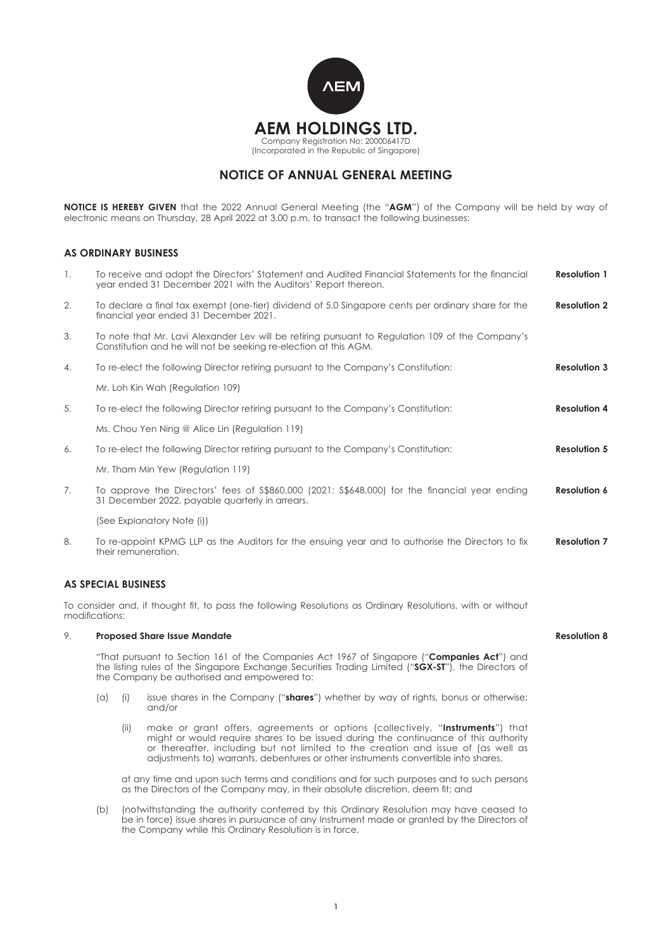

# **NOTICE OF ANNUAL GENERAL MEETING**

**NOTICE IS HEREBY GIVEN** that the 2022 Annual General Meeting (the "**AGM**") of the Company will be held by way of electronic means on Thursday, 28 April 2022 at 3.00 p.m. to transact the following businesses:

# **AS ORDINARY BUSINESS**

| 1. | To receive and adopt the Directors' Statement and Audited Financial Statements for the financial<br><b>Resolution 1</b><br>year ended 31 December 2021 with the Auditors' Report thereon.                                                                 |                                                                                                                                                                                                                                                                                                                                                  |                     |  |
|----|-----------------------------------------------------------------------------------------------------------------------------------------------------------------------------------------------------------------------------------------------------------|--------------------------------------------------------------------------------------------------------------------------------------------------------------------------------------------------------------------------------------------------------------------------------------------------------------------------------------------------|---------------------|--|
| 2. | To declare a final tax exempt (one-tier) dividend of 5.0 Singapore cents per ordinary share for the<br>financial year ended 31 December 2021.                                                                                                             |                                                                                                                                                                                                                                                                                                                                                  | <b>Resolution 2</b> |  |
| 3. |                                                                                                                                                                                                                                                           | To note that Mr. Lavi Alexander Lev will be retiring pursuant to Regulation 109 of the Company's<br>Constitution and he will not be seeking re-election at this AGM.                                                                                                                                                                             |                     |  |
| 4. | To re-elect the following Director retiring pursuant to the Company's Constitution:                                                                                                                                                                       |                                                                                                                                                                                                                                                                                                                                                  | <b>Resolution 3</b> |  |
|    | Mr. Loh Kin Wah (Regulation 109)                                                                                                                                                                                                                          |                                                                                                                                                                                                                                                                                                                                                  |                     |  |
| 5. | To re-elect the following Director retiring pursuant to the Company's Constitution:                                                                                                                                                                       |                                                                                                                                                                                                                                                                                                                                                  | <b>Resolution 4</b> |  |
|    | Ms. Chou Yen Ning @ Alice Lin (Regulation 119)                                                                                                                                                                                                            |                                                                                                                                                                                                                                                                                                                                                  |                     |  |
| 6. | <b>Resolution 5</b><br>To re-elect the following Director retiring pursuant to the Company's Constitution:                                                                                                                                                |                                                                                                                                                                                                                                                                                                                                                  |                     |  |
|    | Mr. Tham Min Yew (Regulation 119)                                                                                                                                                                                                                         |                                                                                                                                                                                                                                                                                                                                                  |                     |  |
| 7. | To approve the Directors' fees of \$\$860,000 (2021: \$\$648,000) for the financial year ending<br>31 December 2022, payable quarterly in arrears.                                                                                                        |                                                                                                                                                                                                                                                                                                                                                  | <b>Resolution 6</b> |  |
|    | (See Explanatory Note (i))                                                                                                                                                                                                                                |                                                                                                                                                                                                                                                                                                                                                  |                     |  |
| 8. | To re-appoint KPMG LLP as the Auditors for the ensuing year and to authorise the Directors to fix<br>their remuneration.                                                                                                                                  |                                                                                                                                                                                                                                                                                                                                                  | <b>Resolution 7</b> |  |
|    | <b>AS SPECIAL BUSINESS</b>                                                                                                                                                                                                                                |                                                                                                                                                                                                                                                                                                                                                  |                     |  |
|    | modifications:                                                                                                                                                                                                                                            | To consider and, if thought fit, to pass the following Resolutions as Ordinary Resolutions, with or without                                                                                                                                                                                                                                      |                     |  |
| 9. | <b>Proposed Share Issue Mandate</b>                                                                                                                                                                                                                       |                                                                                                                                                                                                                                                                                                                                                  | <b>Resolution 8</b> |  |
|    | "That pursuant to Section 161 of the Companies Act 1967 of Singapore (" <b>Companies Act</b> ") and<br>the listing rules of the Singapore Exchange Securities Trading Limited ("SGX-ST"), the Directors of<br>the Company be authorised and empowered to: |                                                                                                                                                                                                                                                                                                                                                  |                     |  |
|    | (a)<br>(i)                                                                                                                                                                                                                                                | issue shares in the Company ("shares") whether by way of rights, bonus or otherwise;<br>and/or                                                                                                                                                                                                                                                   |                     |  |
|    | (ii)                                                                                                                                                                                                                                                      | make or grant offers, agreements or options (collectively, "Instruments") that<br>might or would require shares to be issued during the continuance of this authority<br>or thereafter, including but not limited to the creation and issue of (as well as<br>adjustments to) warrants, debentures or other instruments convertible into shares, |                     |  |

 at any time and upon such terms and conditions and for such purposes and to such persons as the Directors of the Company may, in their absolute discretion, deem fit; and

(b) (notwithstanding the authority conferred by this Ordinary Resolution may have ceased to be in force) issue shares in pursuance of any Instrument made or granted by the Directors of the Company while this Ordinary Resolution is in force,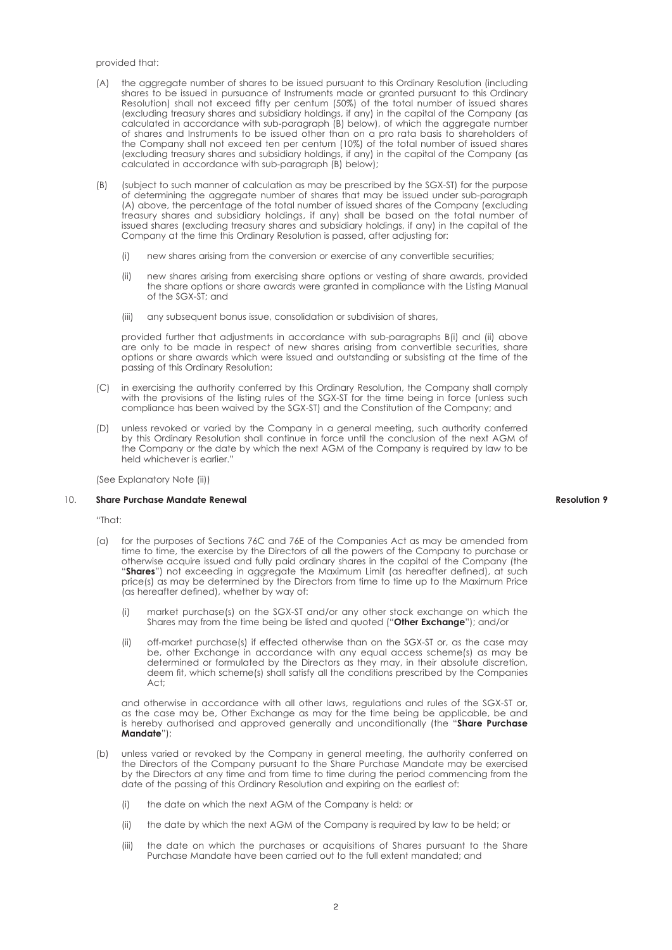#### provided that:

- (A) the aggregate number of shares to be issued pursuant to this Ordinary Resolution (including shares to be issued in pursuance of Instruments made or granted pursuant to this Ordinary Resolution) shall not exceed fifty per centum (50%) of the total number of issued shares (excluding treasury shares and subsidiary holdings, if any) in the capital of the Company (as calculated in accordance with sub-paragraph (B) below), of which the aggregate number of shares and Instruments to be issued other than on a pro rata basis to shareholders of the Company shall not exceed ten per centum (10%) of the total number of issued shares (excluding treasury shares and subsidiary holdings, if any) in the capital of the Company (as calculated in accordance with sub-paragraph (B) below);
- (B) (subject to such manner of calculation as may be prescribed by the SGX-ST) for the purpose of determining the aggregate number of shares that may be issued under sub-paragraph (A) above, the percentage of the total number of issued shares of the Company (excluding treasury shares and subsidiary holdings, if any) shall be based on the total number of issued shares (excluding treasury shares and subsidiary holdings, if any) in the capital of the Company at the time this Ordinary Resolution is passed, after adjusting for:
	- (i) new shares arising from the conversion or exercise of any convertible securities;
	- (ii) new shares arising from exercising share options or vesting of share awards, provided the share options or share awards were granted in compliance with the Listing Manual of the SGX-ST; and
	- (iii) any subsequent bonus issue, consolidation or subdivision of shares,

 provided further that adjustments in accordance with sub-paragraphs B(i) and (ii) above are only to be made in respect of new shares arising from convertible securities, share options or share awards which were issued and outstanding or subsisting at the time of the passing of this Ordinary Resolution;

- (C) in exercising the authority conferred by this Ordinary Resolution, the Company shall comply with the provisions of the listing rules of the SGX-ST for the time being in force (unless such compliance has been waived by the SGX-ST) and the Constitution of the Company; and
- (D) unless revoked or varied by the Company in a general meeting, such authority conferred by this Ordinary Resolution shall continue in force until the conclusion of the next AGM of the Company or the date by which the next AGM of the Company is required by law to be held whichever is earlier."

(See Explanatory Note (ii))

# 10. **Share Purchase Mandate Renewal**

"That:

- (a) for the purposes of Sections 76C and 76E of the Companies Act as may be amended from time to time, the exercise by the Directors of all the powers of the Company to purchase or otherwise acquire issued and fully paid ordinary shares in the capital of the Company (the "Shares") not exceeding in aggregate the Maximum Limit (as hereafter defined), at such price(s) as may be determined by the Directors from time to time up to the Maximum Price (as hereafter defined), whether by way of:
	- (i) market purchase(s) on the SGX-ST and/or any other stock exchange on which the Shares may from the time being be listed and quoted ("**Other Exchange**"); and/or
	- off-market purchase(s) if effected otherwise than on the SGX-ST or, as the case may be, other Exchange in accordance with any equal access scheme(s) as may be determined or formulated by the Directors as they may, in their absolute discretion, deem fit, which scheme(s) shall satisfy all the conditions prescribed by the Companies Act;

 and otherwise in accordance with all other laws, regulations and rules of the SGX-ST or, as the case may be, Other Exchange as may for the time being be applicable, be and is hereby authorised and approved generally and unconditionally (the "**Share Purchase Mandate**");

- (b) unless varied or revoked by the Company in general meeting, the authority conferred on the Directors of the Company pursuant to the Share Purchase Mandate may be exercised by the Directors at any time and from time to time during the period commencing from the date of the passing of this Ordinary Resolution and expiring on the earliest of:
	- (i) the date on which the next AGM of the Company is held; or
	- (ii) the date by which the next AGM of the Company is required by law to be held; or
	- (iii) the date on which the purchases or acquisitions of Shares pursuant to the Share Purchase Mandate have been carried out to the full extent mandated; and

# **Resolution 9**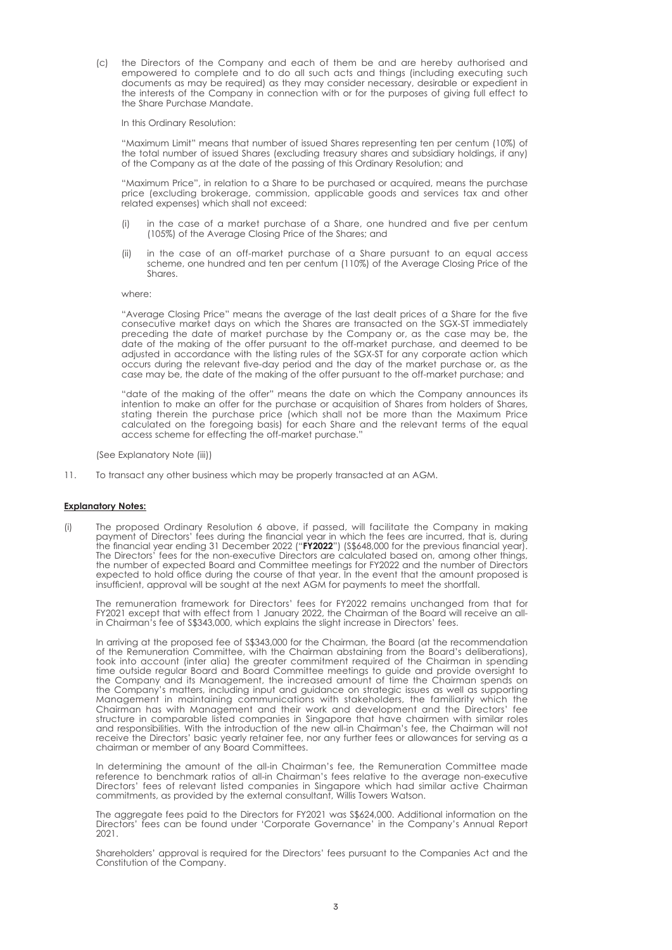(c) the Directors of the Company and each of them be and are hereby authorised and empowered to complete and to do all such acts and things (including executing such documents as may be required) as they may consider necessary, desirable or expedient in the interests of the Company in connection with or for the purposes of giving full effect to the Share Purchase Mandate.

In this Ordinary Resolution:

 "Maximum Limit" means that number of issued Shares representing ten per centum (10%) of the total number of issued Shares (excluding treasury shares and subsidiary holdings, if any) of the Company as at the date of the passing of this Ordinary Resolution; and

 "Maximum Price", in relation to a Share to be purchased or acquired, means the purchase price (excluding brokerage, commission, applicable goods and services tax and other related expenses) which shall not exceed:

- in the case of a market purchase of a Share, one hundred and five per centum (105%) of the Average Closing Price of the Shares; and
- (ii) in the case of an off-market purchase of a Share pursuant to an equal access scheme, one hundred and ten per centum (110%) of the Average Closing Price of the Shares.

#### where:

"Average Closing Price" means the average of the last dealt prices of a Share for the five consecutive market days on which the Shares are transacted on the SGX-ST immediately preceding the date of market purchase by the Company or, as the case may be, the date of the making of the offer pursuant to the off-market purchase, and deemed to be adjusted in accordance with the listing rules of the SGX-ST for any corporate action which occurs during the relevant five-day period and the day of the market purchase or, as the case may be, the date of the making of the offer pursuant to the off-market purchase; and

 "date of the making of the offer" means the date on which the Company announces its intention to make an offer for the purchase or acquisition of Shares from holders of Shares, stating therein the purchase price (which shall not be more than the Maximum Price calculated on the foregoing basis) for each Share and the relevant terms of the equal access scheme for effecting the off-market purchase.

(See Explanatory Note (iii))

11. To transact any other business which may be properly transacted at an AGM.

#### **Explanatory Notes:**

(i) The proposed Ordinary Resolution 6 above, if passed, will facilitate the Company in making payment of Directors' fees during the financial year in which the fees are incurred, that is, during the financial year ending 31 December 2022 ("**FY2022**") (S\$648,000 for the previous financial year). The Directors' fees for the non-executive Directors are calculated based on, among other things, the number of expected Board and Committee meetings for FY2022 and the number of Directors expected to hold office during the course of that year. In the event that the amount proposed is insufficient, approval will be sought at the next AGM for payments to meet the shortfall.

The remuneration framework for Directors' fees for FY2022 remains unchanged from that for FY2021 except that with effect from 1 January 2022, the Chairman of the Board will receive an allin Chairman's fee of S\$343,000, which explains the slight increase in Directors' fees.

In arriving at the proposed fee of S\$343,000 for the Chairman, the Board (at the recommendation of the Remuneration Committee, with the Chairman abstaining from the Board's deliberations), took into account (inter alia) the greater commitment required of the Chairman in spending time outside regular Board and Board Committee meetings to guide and provide oversight to the Company and its Management, the increased amount of time the Chairman spends on the Company's matters, including input and guidance on strategic issues as well as supporting Management in maintaining communications with stakeholders, the familiarity which the Chairman has with Management and their work and development and the Directors' fee structure in comparable listed companies in Singapore that have chairmen with similar roles and responsibilities. With the introduction of the new all-in Chairman's fee, the Chairman will not receive the Directors' basic yearly retainer fee, nor any further fees or allowances for serving as a chairman or member of any Board Committees.

In determining the amount of the all-in Chairman's fee, the Remuneration Committee made reference to benchmark ratios of all-in Chairman's fees relative to the average non-executive Directors' fees of relevant listed companies in Singapore which had similar active Chairman commitments, as provided by the external consultant, Willis Towers Watson.

The aggregate fees paid to the Directors for FY2021 was S\$624,000. Additional information on the Directors' fees can be found under 'Corporate Governance' in the Company's Annual Report 2021.

Shareholders' approval is required for the Directors' fees pursuant to the Companies Act and the Constitution of the Company.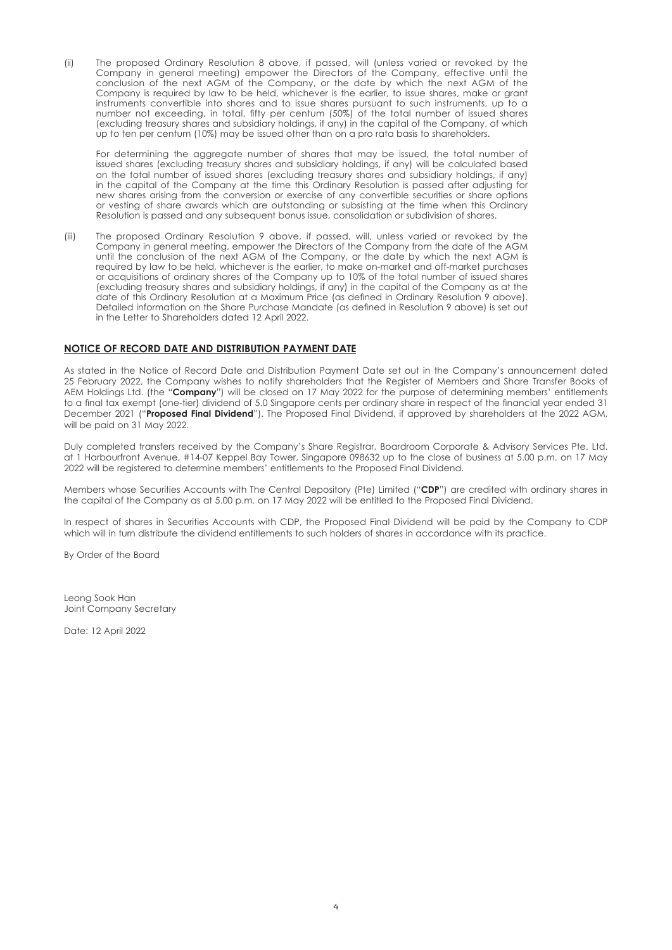(ii) The proposed Ordinary Resolution 8 above, if passed, will (unless varied or revoked by the Company in general meeting) empower the Directors of the Company, effective until the conclusion of the next AGM of the Company, or the date by which the next AGM of the Company is required by law to be held, whichever is the earlier, to issue shares, make or grant instruments convertible into shares and to issue shares pursuant to such instruments, up to a number not exceeding, in total, fifty per centum (50%) of the total number of issued shares (excluding treasury shares and subsidiary holdings, if any) in the capital of the Company, of which up to ten per centum (10%) may be issued other than on a pro rata basis to shareholders.

For determining the aggregate number of shares that may be issued, the total number of issued shares (excluding treasury shares and subsidiary holdings, if any) will be calculated based on the total number of issued shares (excluding treasury shares and subsidiary holdings, if any) in the capital of the Company at the time this Ordinary Resolution is passed after adjusting for new shares arising from the conversion or exercise of any convertible securities or share options or vesting of share awards which are outstanding or subsisting at the time when this Ordinary Resolution is passed and any subsequent bonus issue, consolidation or subdivision of shares.

(iii) The proposed Ordinary Resolution 9 above, if passed, will, unless varied or revoked by the Company in general meeting, empower the Directors of the Company from the date of the AGM until the conclusion of the next AGM of the Company, or the date by which the next AGM is required by law to be held, whichever is the earlier, to make on-market and off-market purchases or acquisitions of ordinary shares of the Company up to 10% of the total number of issued shares (excluding treasury shares and subsidiary holdings, if any) in the capital of the Company as at the date of this Ordinary Resolution at a Maximum Price (as defined in Ordinary Resolution 9 above). Detailed information on the Share Purchase Mandate (as defined in Resolution 9 above) is set out in the Letter to Shareholders dated 12 April 2022.

# **NOTICE OF RECORD DATE AND DISTRIBUTION PAYMENT DATE**

As stated in the Notice of Record Date and Distribution Payment Date set out in the Company's announcement dated 25 February 2022, the Company wishes to notify shareholders that the Register of Members and Share Transfer Books of AEM Holdings Ltd. (the "**Company**") will be closed on 17 May 2022 for the purpose of determining members' entitlements to a final tax exempt (one-tier) dividend of 5.0 Singapore cents per ordinary share in respect of the financial year ended 31 December 2021 ("**Proposed Final Dividend**"). The Proposed Final Dividend, if approved by shareholders at the 2022 AGM, will be paid on 31 May 2022.

Duly completed transfers received by the Company's Share Registrar, Boardroom Corporate & Advisory Services Pte. Ltd. at 1 Harbourfront Avenue, #14-07 Keppel Bay Tower, Singapore 098632 up to the close of business at 5.00 p.m. on 17 May 2022 will be registered to determine members' entitlements to the Proposed Final Dividend.

Members whose Securities Accounts with The Central Depository (Pte) Limited ("**CDP**") are credited with ordinary shares in the capital of the Company as at 5.00 p.m. on 17 May 2022 will be entitled to the Proposed Final Dividend.

In respect of shares in Securities Accounts with CDP, the Proposed Final Dividend will be paid by the Company to CDP which will in turn distribute the dividend entitlements to such holders of shares in accordance with its practice.

By Order of the Board

Leong Sook Han Joint Company Secretary

Date: 12 April 2022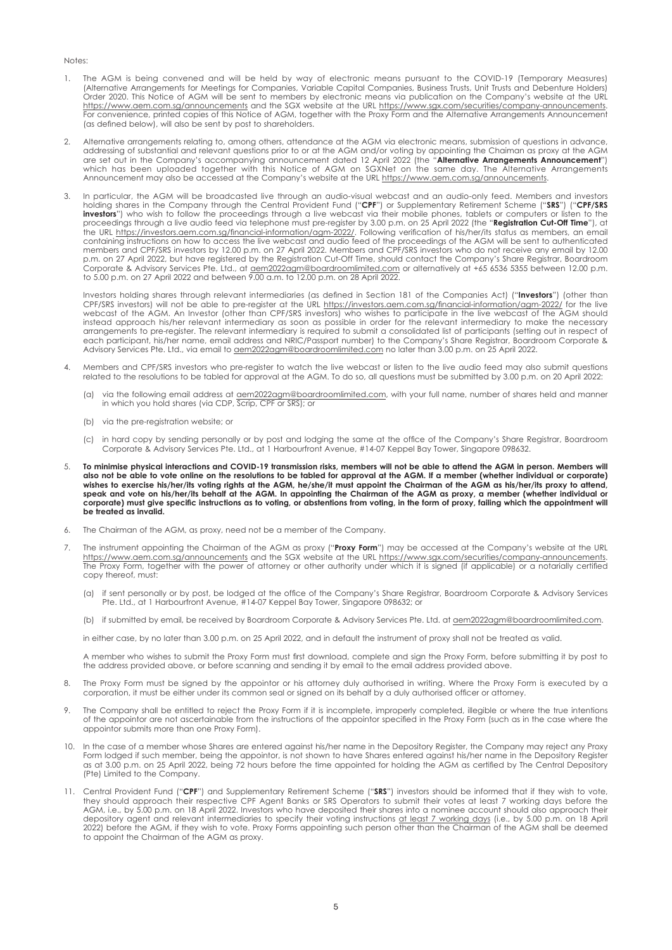#### Notes:

- 1. The AGM is being convened and will be held by way of electronic means pursuant to the COVID-19 (Temporary Measures) (Alternative Arrangements for Meetings for Companies, Variable Capital Companies, Business Trusts, Unit Trusts and Debenture Holders) Order 2020. This Notice of AGM will be sent to members by electronic means via publication on the Company's website at the URL https://www.aem.com.sg/announcements and the SGX website at the URL https://www.sgx.com/securities/company-announcements. For convenience, printed copies of this Notice of AGM, together with the Proxy Form and the Alternative Arrangements Announcement (as defined below), will also be sent by post to shareholders.
- 2. Alternative arrangements relating to, among others, attendance at the AGM via electronic means, submission of questions in advance, addressing of substantial and relevant questions prior to or at the AGM and/or voting by appointing the Chaiman as proxy at the AGM<br>are set out in the Company's accompanying announcement dated 12 April 2022 (the "**Alternat** Announcement may also be accessed at the Company's website at the URL https://www.aem.com.sg/announcements.
- In particular, the AGM will be broadcasted live through an audio-visual webcast and an audio-only feed. Members and investors holding shares in the Company through the Central Provident Fund ("**CPF**") or Supplementary Retirement Scheme ("**SRS**") ("**CPF/SRS**<br>**investors**") who wish to follow the proceedings through a live webcast via their mobile p proceedings through a live audio feed via telephone must pre-register by 3.00 p.m. on 25 April 2022 (the "**Registration Cut-Off Time**"), at the URL https://investors.aem.com.sg/financial-information/agm-2022/. Following verification of his/her/its status as members, an email containing instructions on how to access the live webcast and audio feed of the proceedings of the AGM will be sent to authenticated members and CPF/SRS investors by 12.00 p.m. on 27 April 2022. Members and CPF/SRS investors who do not receive any email by 12.00 p.m. on 27 April 2022, but have registered by the Registration Cut-Off Time, should contact the Company's Share Registrar, Boardroom Corporate & Advisory Services Pte. Ltd., at aem2022agm@boardroomlimited.com or alternatively at +65 6536 5355 between 12.00 p.m. to 5.00 p.m. on 27 April 2022 and between 9.00 a.m. to 12.00 p.m. on 28 April 2022.

Investors holding shares through relevant intermediaries (as defined in Section 181 of the Companies Act) ("**Investors**") (other than<br>CPF/SRS investors) will not be able to pre-register at the URL https://investors.aem.com webcast of the AGM. An Investor (other than CPF/SRS investors) who wishes to participate in the live webcast of the AGM should instead approach his/her relevant intermediary as soon as possible in order for the relevant intermediary to make the necessary arrangements to pre-register. The relevant intermediary is required to submit a consolidated list of participants (setting out in respect of each participant, his/her name, email address and NRIC/Passport number) to the Company's Share Registrar, Boardroom Corporate & Advisory Services Pte. Ltd., via email to **aem2022agm@boardroomlimited.com** no later than 3.00 p.m. on 25 April 2022.

- 4. Members and CPF/SRS investors who pre-register to watch the live webcast or listen to the live audio feed may also submit questions related to the resolutions to be tabled for approval at the AGM. To do so, all questions must be submitted by 3.00 p.m. on 20 April 2022:
- (a) via the following email address at aem2022agm@boardroomlimited.com, with your full name, number of shares held and manner in which you hold shares (via CDP, Scrip, CPF or SRS); or
	- (b) via the pre-registration website; or
	- (c) in hard copy by sending personally or by post and lodging the same at the office of the Company's Share Registrar, Boardroom Corporate & Advisory Services Pte. Ltd., at 1 Harbourfront Avenue, #14-07 Keppel Bay Tower, Singapore 098632.
- 5. **To minimise physical interactions and COVID-19 transmission risks, members will not be able to attend the AGM in person. Members will also not be able to vote online on the resolutions to be tabled for approval at the AGM. If a member (whether individual or corporate) wishes to exercise his/her/its voting rights at the AGM, he/she/it must appoint the Chairman of the AGM as his/her/its proxy to attend, speak and vote on his/her/its behalf at the AGM. In appointing the Chairman of the AGM as proxy, a member (whether individual or**  corporate) must give specific instructions as to voting, or abstentions from voting, in the form of proxy, failing which the appointment will **be treated as invalid.**
- 6. The Chairman of the AGM, as proxy, need not be a member of the Company.
- 7. The instrument appointing the Chairman of the AGM as proxy ("**Proxy Form**") may be accessed at the Company's website at the URL https://www.aem.com.sg/announcements and the SGX website at the URL https://www.sgx.com/securities/company-announcements. The Proxy Form, together with the power of attorney or other authority under which it is signed (if applicable) or a notarially certified copy thereof, must:
- (a) if sent personally or by post, be lodged at the office of the Company's Share Registrar, Boardroom Corporate & Advisory Services Pte. Ltd., at 1 Harbourfront Avenue, #14-07 Keppel Bay Tower, Singapore 098632; or
	- (b) if submitted by email, be received by Boardroom Corporate & Advisory Services Pte. Ltd. at aem2022agm@boardroomlimited.com.

in either case, by no later than 3.00 p.m. on 25 April 2022, and in default the instrument of proxy shall not be treated as valid.

A member who wishes to submit the Proxy Form must first download, complete and sign the Proxy Form, before submitting it by post to the address provided above, or before scanning and sending it by email to the email address provided above.

- 8. The Proxy Form must be signed by the appointor or his attorney duly authorised in writing. Where the Proxy Form is executed by a corporation, it must be either under its common seal or signed on its behalf by a duly authorised officer or attorney.
- 9. The Company shall be entitled to reject the Proxy Form if it is incomplete, improperly completed, illegible or where the true intentions of the appointor are not ascertainable from the instructions of the appointor specified in the Proxy Form (such as in the case where the appointor submits more than one Proxy Form).
- 10. In the case of a member whose Shares are entered against his/her name in the Depository Register, the Company may reject any Proxy Form lodged if such member, being the appointor, is not shown to have Shares entered against his/her name in the Depository Register as at 3.00 p.m. on 25 April 2022, being 72 hours before the time appointed for holding the AGM as certified by The Central Depository (Pte) Limited to the Company.
- 11. Central Provident Fund ("**CPF**") and Supplementary Retirement Scheme ("**SRS**") investors should be informed that if they wish to vote, they should approach their respective CPF Agent Banks or SRS Operators to submit their votes at least 7 working days before the AGM, i.e., by 5.00 p.m. on 18 April 2022. Investors who have deposited their shares into a nominee account should also approach their depository agent and relevant intermediaries to specify their voting instructions at least 7 working days (i.e., by 5.00 p.m. on 18 April 2022) before the AGM, if they wish to vote. Proxy Forms appointing such person other than the Chairman of the AGM shall be deemed to appoint the Chairman of the AGM as proxy.